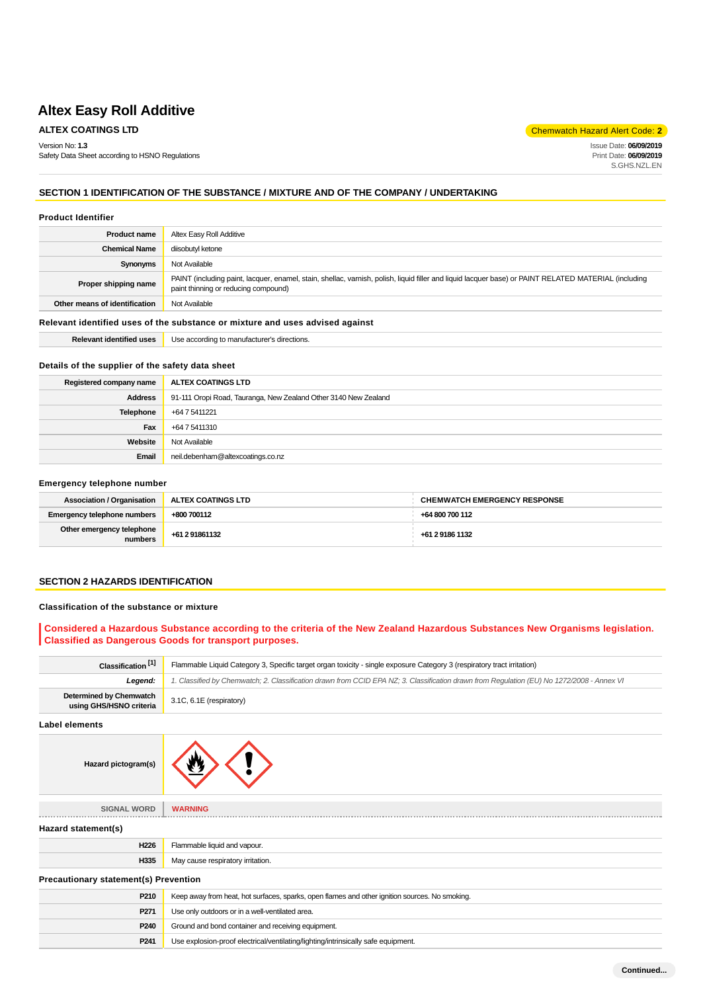**ALTEX COATINGS LTD Chemwatch Hazard Alert Code: 2** 

Version No: **1.3** Safety Data Sheet according to HSNO Regulations Issue Date: **06/09/2019** Print Date: **06/09/2019** S.GHS.NZL.EN

# **SECTION 1 IDENTIFICATION OF THE SUBSTANCE / MIXTURE AND OF THE COMPANY / UNDERTAKING**

#### **Product Identifier**

| <b>Product name</b>                                                           | Altex Easy Roll Additive                                                                                                                                                                      |
|-------------------------------------------------------------------------------|-----------------------------------------------------------------------------------------------------------------------------------------------------------------------------------------------|
| <b>Chemical Name</b>                                                          | diisobutyl ketone                                                                                                                                                                             |
| Synonyms                                                                      | Not Available                                                                                                                                                                                 |
| Proper shipping name                                                          | PAINT (including paint, lacquer, enamel, stain, shellac, varnish, polish, liquid filler and liquid lacquer base) or PAINT RELATED MATERIAL (including<br>paint thinning or reducing compound) |
| Other means of identification                                                 | Not Available                                                                                                                                                                                 |
| Relevant identified uses of the substance or mixture and uses advised against |                                                                                                                                                                                               |

| . | directions.<br>eture.<br>m<br>в |
|---|---------------------------------|
|   |                                 |

# **Details of the supplier of the safety data sheet**

| Registered company name | ALTEX COATINGS LTD                                              |
|-------------------------|-----------------------------------------------------------------|
| <b>Address</b>          | 91-111 Oropi Road, Tauranga, New Zealand Other 3140 New Zealand |
| <b>Telephone</b>        | +64 7 5411221                                                   |
| Fax                     | +64 7 5411310                                                   |
| Website                 | Not Available                                                   |
| Email                   | neil.debenham@altexcoatings.co.nz                               |

## **Emergency telephone number**

| <b>Association / Organisation</b>    | ALTEX COATINGS LTD | <b>CHEMWATCH EMERGENCY RESPONSE</b> |
|--------------------------------------|--------------------|-------------------------------------|
| <b>Emergency telephone numbers</b>   | +800 700112        | +64 800 700 112                     |
| Other emergency telephone<br>numbers | +61 2 91861132     | +61 2 9186 1132                     |

### **SECTION 2 HAZARDS IDENTIFICATION**

### **Classification of the substance or mixture**

**Considered a Hazardous Substance according to the criteria of the New Zealand Hazardous Substances New Organisms legislation. Classified as Dangerous Goods for transport purposes.**

| Classification <sup>[1]</sup>                      | Flammable Liquid Category 3, Specific target organ toxicity - single exposure Category 3 (respiratory tract irritation)                    |  |
|----------------------------------------------------|--------------------------------------------------------------------------------------------------------------------------------------------|--|
| Leaend:                                            | 1. Classified by Chemwatch; 2. Classification drawn from CCID EPA NZ; 3. Classification drawn from Requlation (EU) No 1272/2008 - Annex VI |  |
| Determined by Chemwatch<br>using GHS/HSNO criteria | 3.1C, 6.1E (respiratory)                                                                                                                   |  |

#### **Label elements**

 $\mathbf{r}$ 

| Hazard pictogram(s) |  |
|---------------------|--|
|---------------------|--|

| <b>SIGNAL WORD</b>  | <b>WARNING</b>                    |
|---------------------|-----------------------------------|
| Hazard statement(s) |                                   |
| H226                | Flammable liquid and vapour.      |
| H335                | May cause respiratory irritation. |

#### **Precautionary statement(s) Prevention**

| P210             | Keep away from heat, hot surfaces, sparks, open flames and other ignition sources. No smoking. |
|------------------|------------------------------------------------------------------------------------------------|
| P <sub>271</sub> | Use only outdoors or in a well-ventilated area.                                                |
| P <sub>240</sub> | Ground and bond container and receiving equipment.                                             |
| P <sub>241</sub> | Use explosion-proof electrical/ventilating/lighting/intrinsically safe equipment.              |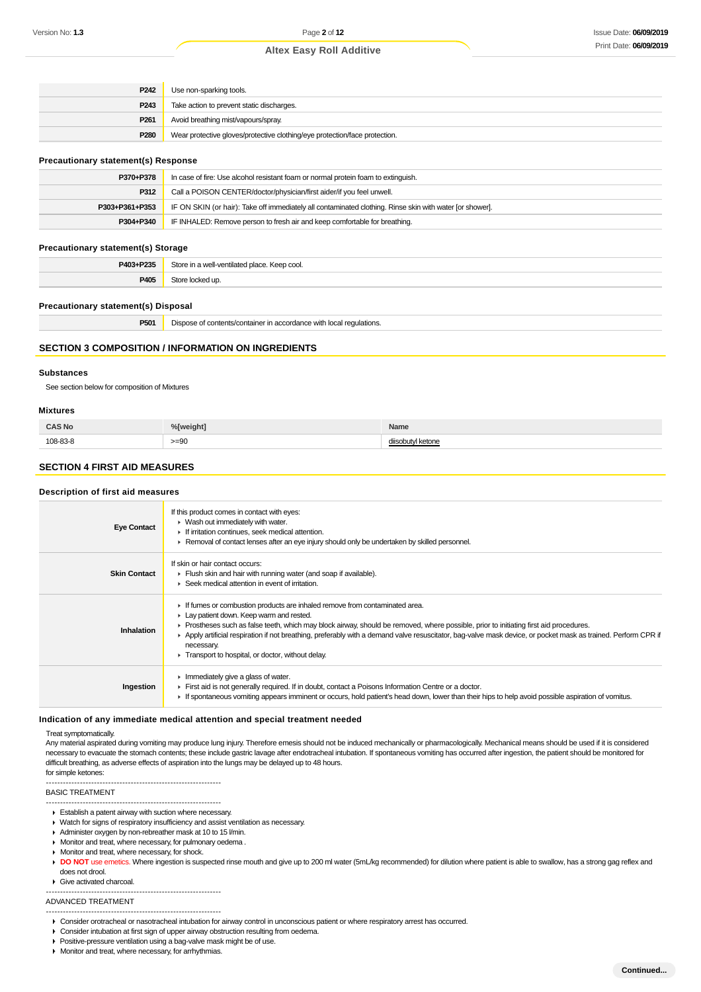| P242             | Use non-sparking tools.                                                    |
|------------------|----------------------------------------------------------------------------|
| P <sub>243</sub> | Take action to prevent static discharges.                                  |
| P <sub>261</sub> | Avoid breathing mist/vapours/spray.                                        |
| P <sub>280</sub> | Wear protective gloves/protective clothing/eye protection/face protection. |

## **Precautionary statement(s) Response**

| $\cdots$       |                                                                                                          |
|----------------|----------------------------------------------------------------------------------------------------------|
| P370+P378      | In case of fire: Use alcohol resistant foam or normal protein foam to extinguish.                        |
| P312           | Call a POISON CENTER/doctor/physician/first aider/if you feel unwell.                                    |
| P303+P361+P353 | IF ON SKIN (or hair): Take off immediately all contaminated clothing. Rinse skin with water [or shower]. |
| P304+P340      | IF INHALED: Remove person to fresh air and keep comfortable for breathing.                               |

## **Precautionary statement(s) Storage**

| P403+P235  | こもへい<br>I-ventilated place. Keep cool.<br>. 141011<br>weu |
|------------|-----------------------------------------------------------|
| <b>DAN</b> | .                                                         |
| r4v        | uc                                                        |

#### **Precautionary statement(s) Disposal**

| P501 | Dispose of contents/container in accordance with local regulations. |
|------|---------------------------------------------------------------------|
|      |                                                                     |

# **SECTION 3 COMPOSITION / INFORMATION ON INGREDIENTS**

## **Substances**

See section below for composition of Mixtures

# **Mixtures**

| <b>CAS No</b> | %[weight] | Name                  |
|---------------|-----------|-----------------------|
| 108-83-8      |           | <sup>r</sup> l ketone |
| .             | $>= 90$   |                       |

### **SECTION 4 FIRST AID MEASURES**

#### **Description of first aid measures**

| <b>Eye Contact</b>  | If this product comes in contact with eyes:<br>• Wash out immediately with water.<br>If irritation continues, seek medical attention.<br>► Removal of contact lenses after an eye injury should only be undertaken by skilled personnel.                                                                                                                                                                                                                                                            |
|---------------------|-----------------------------------------------------------------------------------------------------------------------------------------------------------------------------------------------------------------------------------------------------------------------------------------------------------------------------------------------------------------------------------------------------------------------------------------------------------------------------------------------------|
| <b>Skin Contact</b> | If skin or hair contact occurs:<br>Filush skin and hair with running water (and soap if available).<br>$\blacktriangleright$ Seek medical attention in event of irritation.                                                                                                                                                                                                                                                                                                                         |
| Inhalation          | If fumes or combustion products are inhaled remove from contaminated area.<br>Lay patient down. Keep warm and rested.<br>► Prostheses such as false teeth, which may block airway, should be removed, where possible, prior to initiating first aid procedures.<br>▶ Apply artificial respiration if not breathing, preferably with a demand valve resuscitator, bag-valve mask device, or pocket mask as trained. Perform CPR if<br>necessary.<br>Transport to hospital, or doctor, without delay. |
| Ingestion           | Inmediately give a glass of water.<br>First aid is not generally required. If in doubt, contact a Poisons Information Centre or a doctor.<br>If spontaneous vomiting appears imminent or occurs, hold patient's head down, lower than their hips to help avoid possible aspiration of vomitus.                                                                                                                                                                                                      |

#### **Indication of any immediate medical attention and special treatment needed**

Treat symptomatically.

Any material aspirated during vomiting may produce lung injury. Therefore emesis should not be induced mechanically or pharmacologically. Mechanical means should be used if it is considered necessary to evacuate the stomach contents; these include gastric lavage after endotracheal intubation. If spontaneous vomiting has occurred after ingestion, the patient should be monitored for difficult breathing, as adverse effects of aspiration into the lungs may be delayed up to 48 hours.

#### for simple ketones: --------------------------------------------------------------

#### BASIC TREATMENT

- --------------------------------------------------------------
- Establish a patent airway with suction where necessary.
- Watch for signs of respiratory insufficiency and assist ventilation as necessary.
- Administer oxygen by non-rebreather mask at 10 to 15 l/min.
- Monitor and treat, where necessary, for pulmonary oedema .
- **Monitor and treat, where necessary, for shock.**
- DO NOT use emetics. Where ingestion is suspected rinse mouth and give up to 200 ml water (5mL/kg recommended) for dilution where patient is able to swallow, has a strong gag reflex and does not drool.
- Give activated charcoal.  $-$

#### ADVANCED TREATMENT

--------------------------------------------------------------

- Consider orotracheal or nasotracheal intubation for airway control in unconscious patient or where respiratory arrest has occurred.
- Consider intubation at first sign of upper airway obstruction resulting from oedema.
- Positive-pressure ventilation using a bag-valve mask might be of use.
- **Monitor and treat, where necessary, for arrhythmias.**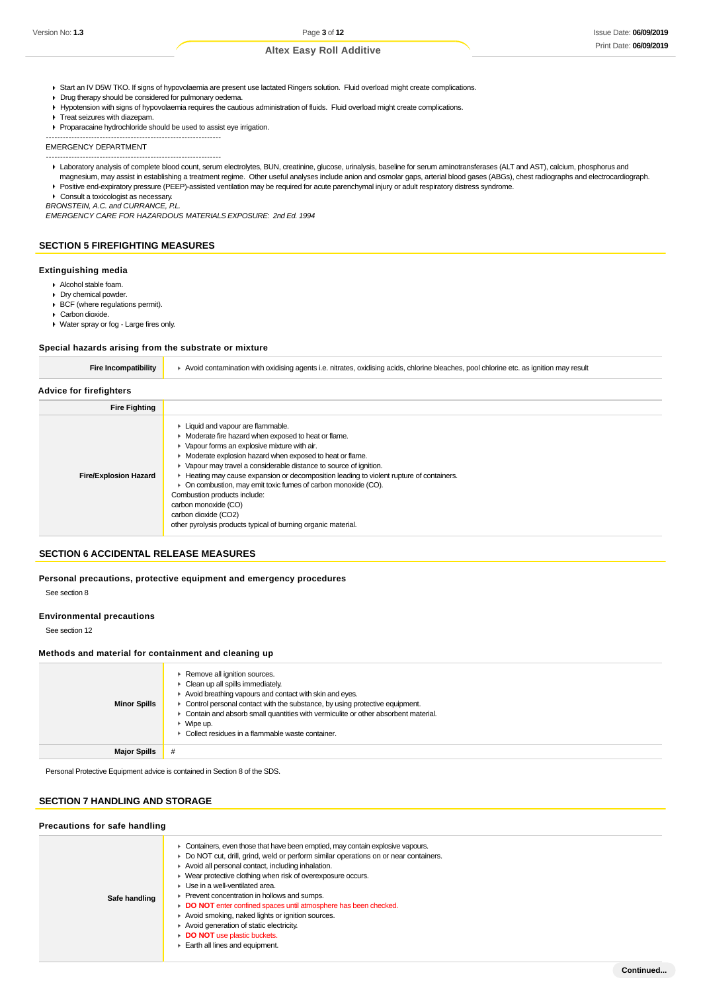▶ Start an IV D5W TKO. If signs of hypovolaemia are present use lactated Ringers solution. Fluid overload might create complications.

Drug therapy should be considered for pulmonary oedema.

- Hypotension with signs of hypovolaemia requires the cautious administration of fluids. Fluid overload might create complications.
- **Treat seizures with diazepam.**

Proparacaine hydrochloride should be used to assist eye irrigation.

-------------------------------------------------------------- EMERGENCY DEPARTMENT

--------------------------------------------------------------

- Laboratory analysis of complete blood count, serum electrolytes, BUN, creatinine, glucose, urinalysis, baseline for serum aminotransferases (ALT and AST), calcium, phosphorus and magnesium, may assist in establishing a treatment regime. Other useful analyses include anion and osmolar gaps, arterial blood gases (ABGs), chest radiographs and electrocardiograph. Positive end-expiratory pressure (PEEP)-assisted ventilation may be required for acute parenchymal injury or adult respiratory distress syndrome.
- Consult a toxicologist as necessary.

BRONSTEIN, A.C. and CURRANCE, P.L.

EMERGENCY CARE FOR HAZARDOUS MATERIALS EXPOSURE: 2nd Ed. 1994

# **SECTION 5 FIREFIGHTING MEASURES**

### **Extinguishing media**

Alcohol stable foam.

- Dry chemical powder.
- ▶ BCF (where regulations permit).
- Carbon dioxide.
- Water spray or fog Large fires only.

#### **Special hazards arising from the substrate or mixture**

| <b>Fire Incompatibility</b>    | Avoid contamination with oxidising agents i.e. nitrates, oxidising acids, chlorine bleaches, pool chlorine etc. as ignition may result                                                                                                                                                                                                                                                                                                                                                                                                                                                          |
|--------------------------------|-------------------------------------------------------------------------------------------------------------------------------------------------------------------------------------------------------------------------------------------------------------------------------------------------------------------------------------------------------------------------------------------------------------------------------------------------------------------------------------------------------------------------------------------------------------------------------------------------|
| <b>Advice for firefighters</b> |                                                                                                                                                                                                                                                                                                                                                                                                                                                                                                                                                                                                 |
| <b>Fire Fighting</b>           |                                                                                                                                                                                                                                                                                                                                                                                                                                                                                                                                                                                                 |
| <b>Fire/Explosion Hazard</b>   | • Liquid and vapour are flammable.<br>• Moderate fire hazard when exposed to heat or flame.<br>• Vapour forms an explosive mixture with air.<br>• Moderate explosion hazard when exposed to heat or flame.<br>• Vapour may travel a considerable distance to source of ignition.<br>F Heating may cause expansion or decomposition leading to violent rupture of containers.<br>• On combustion, may emit toxic fumes of carbon monoxide (CO).<br>Combustion products include:<br>carbon monoxide (CO)<br>carbon dioxide (CO2)<br>other pyrolysis products typical of burning organic material. |

### **SECTION 6 ACCIDENTAL RELEASE MEASURES**

**Personal precautions, protective equipment and emergency procedures** See section 8

# **Environmental precautions**

See section 12

#### **Methods and material for containment and cleaning up**

| <b>Minor Spills</b> | Remove all ignition sources.<br>• Clean up all spills immediately.<br>Avoid breathing vapours and contact with skin and eyes.<br>• Control personal contact with the substance, by using protective equipment.<br>• Contain and absorb small quantities with vermiculite or other absorbent material.<br>$\triangleright$ Wipe up.<br>▶ Collect residues in a flammable waste container. |
|---------------------|------------------------------------------------------------------------------------------------------------------------------------------------------------------------------------------------------------------------------------------------------------------------------------------------------------------------------------------------------------------------------------------|
| <b>Major Spills</b> | #                                                                                                                                                                                                                                                                                                                                                                                        |

Personal Protective Equipment advice is contained in Section 8 of the SDS.

# **SECTION 7 HANDLING AND STORAGE**

| Precautions for safe handling |                                                                                                                                                                                                                                                                                                                                                                                                                                                                                                                                                                                                                                         |  |  |  |
|-------------------------------|-----------------------------------------------------------------------------------------------------------------------------------------------------------------------------------------------------------------------------------------------------------------------------------------------------------------------------------------------------------------------------------------------------------------------------------------------------------------------------------------------------------------------------------------------------------------------------------------------------------------------------------------|--|--|--|
| Safe handling                 | • Containers, even those that have been emptied, may contain explosive vapours.<br>► Do NOT cut, drill, grind, weld or perform similar operations on or near containers.<br>Avoid all personal contact, including inhalation.<br>• Wear protective clothing when risk of overexposure occurs.<br>$\blacktriangleright$ Use in a well-ventilated area.<br>Prevent concentration in hollows and sumps.<br>DO NOT enter confined spaces until atmosphere has been checked.<br>Avoid smoking, naked lights or ignition sources.<br>Avoid generation of static electricity.<br>DO NOT use plastic buckets.<br>Earth all lines and equipment. |  |  |  |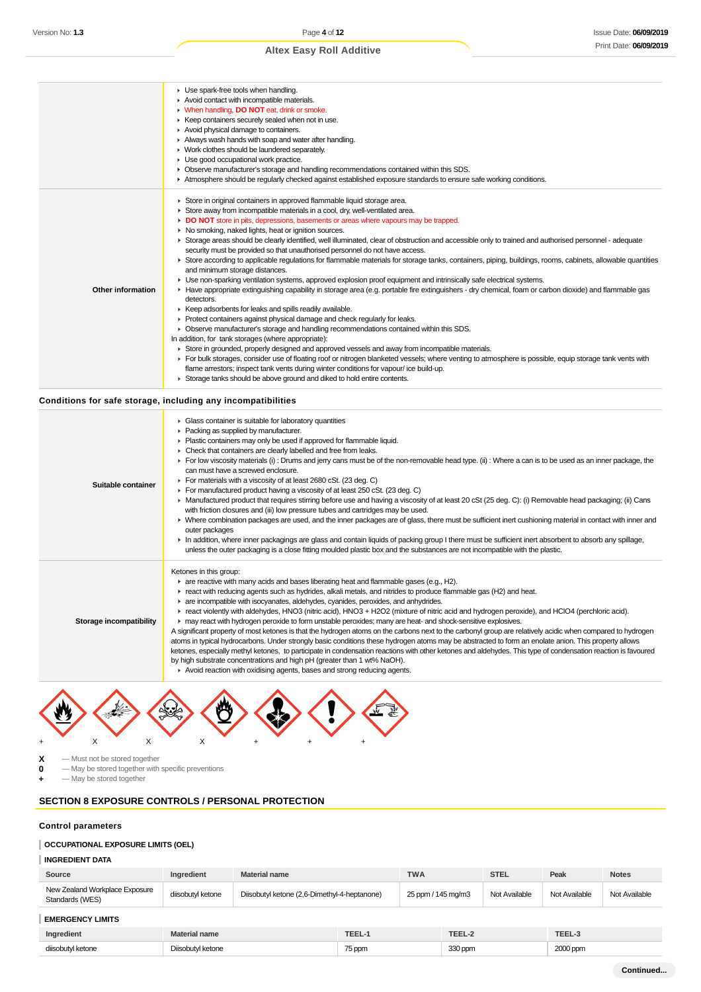|                          | • Use spark-free tools when handling.<br>Avoid contact with incompatible materials.<br>V When handling, DO NOT eat, drink or smoke.<br>▶ Keep containers securely sealed when not in use.<br>Avoid physical damage to containers.<br>Always wash hands with soap and water after handling.<br>• Work clothes should be laundered separately.<br>• Use good occupational work practice.<br>• Observe manufacturer's storage and handling recommendations contained within this SDS.<br>Atmosphere should be regularly checked against established exposure standards to ensure safe working conditions.                                                                                                                                                                                                                                                                                                                                                                                                                                                                                                                                                                                                                                                                                                                                                                                                                                                                                                                                                                                                                                                                                                                                                                                  |
|--------------------------|-----------------------------------------------------------------------------------------------------------------------------------------------------------------------------------------------------------------------------------------------------------------------------------------------------------------------------------------------------------------------------------------------------------------------------------------------------------------------------------------------------------------------------------------------------------------------------------------------------------------------------------------------------------------------------------------------------------------------------------------------------------------------------------------------------------------------------------------------------------------------------------------------------------------------------------------------------------------------------------------------------------------------------------------------------------------------------------------------------------------------------------------------------------------------------------------------------------------------------------------------------------------------------------------------------------------------------------------------------------------------------------------------------------------------------------------------------------------------------------------------------------------------------------------------------------------------------------------------------------------------------------------------------------------------------------------------------------------------------------------------------------------------------------------|
| <b>Other information</b> | Store in original containers in approved flammable liquid storage area.<br>• Store away from incompatible materials in a cool, dry, well-ventilated area.<br>DO NOT store in pits, depressions, basements or areas where vapours may be trapped.<br>• No smoking, naked lights, heat or ignition sources.<br>▶ Storage areas should be clearly identified, well illuminated, clear of obstruction and accessible only to trained and authorised personnel - adequate<br>security must be provided so that unauthorised personnel do not have access.<br>▶ Store according to applicable regulations for flammable materials for storage tanks, containers, piping, buildings, rooms, cabinets, allowable quantities<br>and minimum storage distances.<br>• Use non-sparking ventilation systems, approved explosion proof equipment and intrinsically safe electrical systems.<br>Have appropriate extinguishing capability in storage area (e.g. portable fire extinguishers - dry chemical, foam or carbon dioxide) and flammable qas<br>detectors.<br>▶ Keep adsorbents for leaks and spills readily available.<br>• Protect containers against physical damage and check regularly for leaks.<br>• Observe manufacturer's storage and handling recommendations contained within this SDS.<br>In addition, for tank storages (where appropriate):<br>► Store in grounded, properly designed and approved vessels and away from incompatible materials.<br>For bulk storages, consider use of floating roof or nitrogen blanketed vessels; where venting to atmosphere is possible, equip storage tank vents with<br>flame arrestors; inspect tank vents during winter conditions for vapour/ice build-up.<br>Storage tanks should be above ground and diked to hold entire contents. |

# **Conditions for safe storage, including any incompatibilities**

| with friction closures and (iii) low pressure tubes and cartridges may be used.<br>outer packages<br>In addition, where inner packagings are glass and contain liquids of packing group I there must be sufficient inert absorbent to absorb any spillage,<br>unless the outer packaging is a close fitting moulded plastic box and the substances are not incompatible with the plastic.                                                                                                                                                                                                                                                                                                                                                                                                                                                                                                                                                                                                                                                                                                                                   | Suitable container | • Glass container is suitable for laboratory quantities<br>Packing as supplied by manufacturer.<br>• Plastic containers may only be used if approved for flammable liquid.<br>• Check that containers are clearly labelled and free from leaks.<br>For low viscosity materials (i) : Drums and jerry cans must be of the non-removable head type. (ii) : Where a can is to be used as an inner package, the<br>can must have a screwed enclosure.<br>For materials with a viscosity of at least 2680 cSt. (23 deg. C)<br>► For manufactured product having a viscosity of at least 250 cSt. (23 deg. C)<br>▶ Manufactured product that requires stirring before use and having a viscosity of at least 20 cSt (25 deg. C): (i) Removable head packaging; (ii) Cans<br>▶ Where combination packages are used, and the inner packages are of glass, there must be sufficient inert cushioning material in contact with inner and |
|-----------------------------------------------------------------------------------------------------------------------------------------------------------------------------------------------------------------------------------------------------------------------------------------------------------------------------------------------------------------------------------------------------------------------------------------------------------------------------------------------------------------------------------------------------------------------------------------------------------------------------------------------------------------------------------------------------------------------------------------------------------------------------------------------------------------------------------------------------------------------------------------------------------------------------------------------------------------------------------------------------------------------------------------------------------------------------------------------------------------------------|--------------------|--------------------------------------------------------------------------------------------------------------------------------------------------------------------------------------------------------------------------------------------------------------------------------------------------------------------------------------------------------------------------------------------------------------------------------------------------------------------------------------------------------------------------------------------------------------------------------------------------------------------------------------------------------------------------------------------------------------------------------------------------------------------------------------------------------------------------------------------------------------------------------------------------------------------------------|
| Ketones in this group:<br>$\blacktriangleright$ are reactive with many acids and bases liberating heat and flammable gases (e.g., H2).<br>F react with reducing agents such as hydrides, alkali metals, and nitrides to produce flammable gas (H2) and heat.<br>are incompatible with isocyanates, aldehydes, cyanides, peroxides, and anhydrides.<br>F react violently with aldehydes, HNO3 (nitric acid), HNO3 + H2O2 (mixture of nitric acid and hydrogen peroxide), and HClO4 (perchloric acid).<br>Storage incompatibility<br>may react with hydrogen peroxide to form unstable peroxides; many are heat- and shock-sensitive explosives.<br>A significant property of most ketones is that the hydrogen atoms on the carbons next to the carbonyl group are relatively acidic when compared to hydrogen<br>atoms in typical hydrocarbons. Under strongly basic conditions these hydrogen atoms may be abstracted to form an enolate anion. This property allows<br>by high substrate concentrations and high pH (greater than 1 wt% NaOH).<br>Avoid reaction with oxidising agents, bases and strong reducing agents. |                    | ketones, especially methyl ketones, to participate in condensation reactions with other ketones and aldehydes. This type of condensation reaction is favoured                                                                                                                                                                                                                                                                                                                                                                                                                                                                                                                                                                                                                                                                                                                                                                  |

+ X X X + + +

**X** — Must not be stored together<br>**0** — May be stored together with

**0** — May be stored together with specific preventions **+** — May be stored together

**SECTION 8 EXPOSURE CONTROLS / PERSONAL PROTECTION**

# **Control parameters**

# **OCCUPATIONAL EXPOSURE LIMITS (OEL)**

| <b>INGREDIENT DATA</b>                            |                      |                                              |        |                    |         |               |               |               |
|---------------------------------------------------|----------------------|----------------------------------------------|--------|--------------------|---------|---------------|---------------|---------------|
| Source                                            | Ingredient           | <b>Material name</b>                         |        | <b>TWA</b>         |         | <b>STEL</b>   | Peak          | <b>Notes</b>  |
| New Zealand Workplace Exposure<br>Standards (WES) | diisobutyl ketone    | Diisobutyl ketone (2,6-Dimethyl-4-heptanone) |        | 25 ppm / 145 mg/m3 |         | Not Available | Not Available | Not Available |
| <b>EMERGENCY LIMITS</b>                           |                      |                                              |        |                    |         |               |               |               |
| Ingredient                                        | <b>Material name</b> |                                              | TEEL-1 |                    | TEEL-2  |               | TEEL-3        |               |
| diisobutyl ketone                                 | Diisobutyl ketone    |                                              | 75 ppm |                    | 330 ppm |               | 2000 ppm      |               |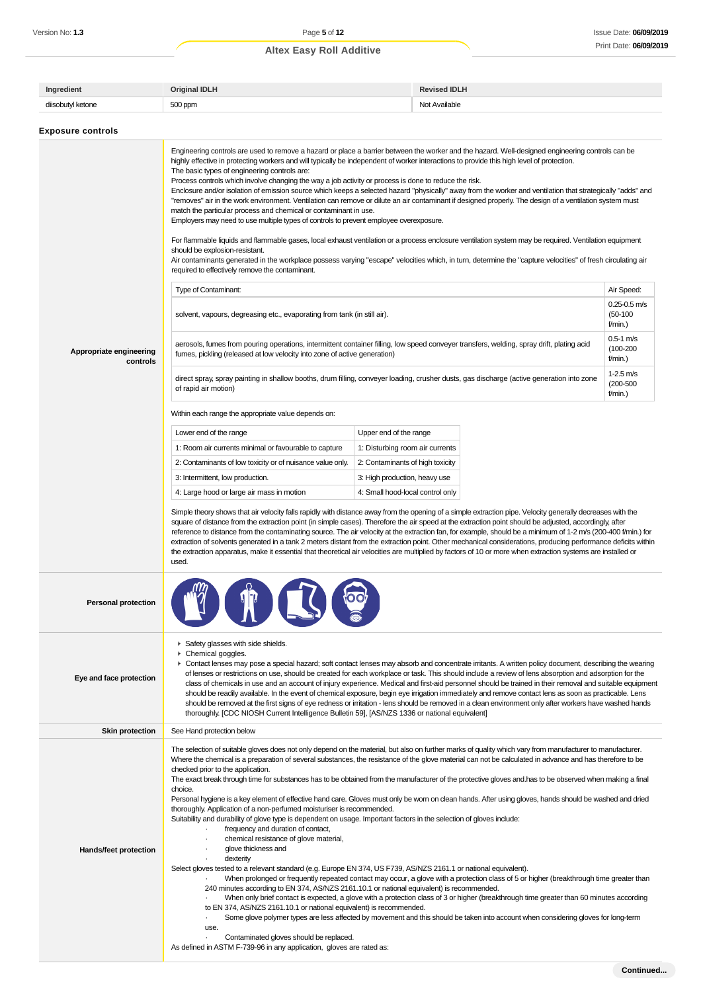| Ingredient                          | <b>Original IDLH</b>                                                                                                                                                                                                                                                                                                                                                                                                                                                                                                                                                                                                                                                                                                                                                                                                                                                                                                                                                                                                                                                                                                                                                                                                                                                                                                                                                                 | <b>Revised IDLH</b>              |  |                                           |  |  |
|-------------------------------------|--------------------------------------------------------------------------------------------------------------------------------------------------------------------------------------------------------------------------------------------------------------------------------------------------------------------------------------------------------------------------------------------------------------------------------------------------------------------------------------------------------------------------------------------------------------------------------------------------------------------------------------------------------------------------------------------------------------------------------------------------------------------------------------------------------------------------------------------------------------------------------------------------------------------------------------------------------------------------------------------------------------------------------------------------------------------------------------------------------------------------------------------------------------------------------------------------------------------------------------------------------------------------------------------------------------------------------------------------------------------------------------|----------------------------------|--|-------------------------------------------|--|--|
| diisobutyl ketone                   | 500 ppm                                                                                                                                                                                                                                                                                                                                                                                                                                                                                                                                                                                                                                                                                                                                                                                                                                                                                                                                                                                                                                                                                                                                                                                                                                                                                                                                                                              | Not Available                    |  |                                           |  |  |
| <b>Exposure controls</b>            |                                                                                                                                                                                                                                                                                                                                                                                                                                                                                                                                                                                                                                                                                                                                                                                                                                                                                                                                                                                                                                                                                                                                                                                                                                                                                                                                                                                      |                                  |  |                                           |  |  |
|                                     | Engineering controls are used to remove a hazard or place a barrier between the worker and the hazard. Well-designed engineering controls can be<br>highly effective in protecting workers and will typically be independent of worker interactions to provide this high level of protection.<br>The basic types of engineering controls are:<br>Process controls which involve changing the way a job activity or process is done to reduce the risk.<br>Enclosure and/or isolation of emission source which keeps a selected hazard "physically" away from the worker and ventilation that strategically "adds" and<br>"removes" air in the work environment. Ventilation can remove or dilute an air contaminant if designed properly. The design of a ventilation system must<br>match the particular process and chemical or contaminant in use.<br>Employers may need to use multiple types of controls to prevent employee overexposure.<br>For flammable liquids and flammable gases, local exhaust ventilation or a process enclosure ventilation system may be required. Ventilation equipment<br>should be explosion-resistant.<br>Air contaminants generated in the workplace possess varying "escape" velocities which, in turn, determine the "capture velocities" of fresh circulating air<br>required to effectively remove the contaminant.<br>Type of Contaminant: |                                  |  | Air Speed:                                |  |  |
|                                     | solvent, vapours, degreasing etc., evaporating from tank (in still air).                                                                                                                                                                                                                                                                                                                                                                                                                                                                                                                                                                                                                                                                                                                                                                                                                                                                                                                                                                                                                                                                                                                                                                                                                                                                                                             |                                  |  | $0.25 - 0.5$ m/s<br>$(50-100)$<br>f/min.) |  |  |
| Appropriate engineering<br>controls | aerosols, fumes from pouring operations, intermittent container filling, low speed conveyer transfers, welding, spray drift, plating acid<br>fumes, pickling (released at low velocity into zone of active generation)                                                                                                                                                                                                                                                                                                                                                                                                                                                                                                                                                                                                                                                                                                                                                                                                                                                                                                                                                                                                                                                                                                                                                               |                                  |  | $0.5 - 1$ m/s<br>$(100 - 200)$<br>f/min.) |  |  |
|                                     | direct spray, spray painting in shallow booths, drum filling, conveyer loading, crusher dusts, gas discharge (active generation into zone<br>of rapid air motion)                                                                                                                                                                                                                                                                                                                                                                                                                                                                                                                                                                                                                                                                                                                                                                                                                                                                                                                                                                                                                                                                                                                                                                                                                    |                                  |  |                                           |  |  |
|                                     | Within each range the appropriate value depends on:                                                                                                                                                                                                                                                                                                                                                                                                                                                                                                                                                                                                                                                                                                                                                                                                                                                                                                                                                                                                                                                                                                                                                                                                                                                                                                                                  |                                  |  |                                           |  |  |
|                                     | Lower end of the range                                                                                                                                                                                                                                                                                                                                                                                                                                                                                                                                                                                                                                                                                                                                                                                                                                                                                                                                                                                                                                                                                                                                                                                                                                                                                                                                                               | Upper end of the range           |  |                                           |  |  |
|                                     | 1: Room air currents minimal or favourable to capture                                                                                                                                                                                                                                                                                                                                                                                                                                                                                                                                                                                                                                                                                                                                                                                                                                                                                                                                                                                                                                                                                                                                                                                                                                                                                                                                | 1: Disturbing room air currents  |  |                                           |  |  |
|                                     | 2: Contaminants of low toxicity or of nuisance value only.                                                                                                                                                                                                                                                                                                                                                                                                                                                                                                                                                                                                                                                                                                                                                                                                                                                                                                                                                                                                                                                                                                                                                                                                                                                                                                                           | 2: Contaminants of high toxicity |  |                                           |  |  |
|                                     | 3: Intermittent, low production.                                                                                                                                                                                                                                                                                                                                                                                                                                                                                                                                                                                                                                                                                                                                                                                                                                                                                                                                                                                                                                                                                                                                                                                                                                                                                                                                                     | 3: High production, heavy use    |  |                                           |  |  |
|                                     | 4: Large hood or large air mass in motion                                                                                                                                                                                                                                                                                                                                                                                                                                                                                                                                                                                                                                                                                                                                                                                                                                                                                                                                                                                                                                                                                                                                                                                                                                                                                                                                            | 4: Small hood-local control only |  |                                           |  |  |
|                                     | Simple theory shows that air velocity falls rapidly with distance away from the opening of a simple extraction pipe. Velocity generally decreases with the<br>square of distance from the extraction point (in simple cases). Therefore the air speed at the extraction point should be adjusted, accordingly, after<br>reference to distance from the contaminating source. The air velocity at the extraction fan, for example, should be a minimum of 1-2 m/s (200-400 f/min.) for<br>extraction of solvents generated in a tank 2 meters distant from the extraction point. Other mechanical considerations, producing performance deficits within<br>the extraction apparatus, make it essential that theoretical air velocities are multiplied by factors of 10 or more when extraction systems are installed or<br>used.                                                                                                                                                                                                                                                                                                                                                                                                                                                                                                                                                      |                                  |  |                                           |  |  |
| <b>Personal protection</b>          |                                                                                                                                                                                                                                                                                                                                                                                                                                                                                                                                                                                                                                                                                                                                                                                                                                                                                                                                                                                                                                                                                                                                                                                                                                                                                                                                                                                      |                                  |  |                                           |  |  |
| Eye and face protection             | Safety glasses with side shields.<br>Chemical goggles.<br>► Contact lenses may pose a special hazard; soft contact lenses may absorb and concentrate irritants. A written policy document, describing the wearing<br>of lenses or restrictions on use, should be created for each workplace or task. This should include a review of lens absorption and adsorption for the<br>class of chemicals in use and an account of injury experience. Medical and first-aid personnel should be trained in their removal and suitable equipment<br>should be readily available. In the event of chemical exposure, begin eye irrigation immediately and remove contact lens as soon as practicable. Lens<br>should be removed at the first signs of eye redness or irritation - lens should be removed in a clean environment only after workers have washed hands<br>thoroughly. [CDC NIOSH Current Intelligence Bulletin 59], [AS/NZS 1336 or national equivalent]                                                                                                                                                                                                                                                                                                                                                                                                                         |                                  |  |                                           |  |  |
| <b>Skin protection</b>              | See Hand protection below                                                                                                                                                                                                                                                                                                                                                                                                                                                                                                                                                                                                                                                                                                                                                                                                                                                                                                                                                                                                                                                                                                                                                                                                                                                                                                                                                            |                                  |  |                                           |  |  |
|                                     | The selection of suitable gloves does not only depend on the material, but also on further marks of quality which vary from manufacturer to manufacturer.<br>Where the chemical is a preparation of several substances, the resistance of the glove material can not be calculated in advance and has therefore to be<br>checked prior to the application.<br>The exact break through time for substances has to be obtained from the manufacturer of the protective gloves and has to be observed when making a final<br>choice.<br>Personal hygiene is a key element of effective hand care. Gloves must only be worn on clean hands. After using gloves, hands should be washed and dried                                                                                                                                                                                                                                                                                                                                                                                                                                                                                                                                                                                                                                                                                         |                                  |  |                                           |  |  |
|                                     | thoroughly. Application of a non-perfumed moisturiser is recommended.<br>Suitability and durability of glove type is dependent on usage. Important factors in the selection of gloves include:<br>frequency and duration of contact,<br>chemical resistance of glove material,                                                                                                                                                                                                                                                                                                                                                                                                                                                                                                                                                                                                                                                                                                                                                                                                                                                                                                                                                                                                                                                                                                       |                                  |  |                                           |  |  |

- Select gloves tested to a relevant standard (e.g. Europe EN 374, US F739, AS/NZS 2161.1 or national equivalent). · When prolonged or frequently repeated contact may occur, a glove with a protection class of 5 or higher (breakthrough time greater than
	- 240 minutes according to EN 374, AS/NZS 2161.10.1 or national equivalent) is recommended. · When only brief contact is expected, a glove with a protection class of 3 or higher (breakthrough time greater than 60 minutes according to EN 374, AS/NZS 2161.10.1 or national equivalent) is recommended.
	- · Some glove polymer types are less affected by movement and this should be taken into account when considering gloves for long-term use.
- Contaminated gloves should be replaced.

As defined in ASTM F-739-96 in any application, gloves are rated as: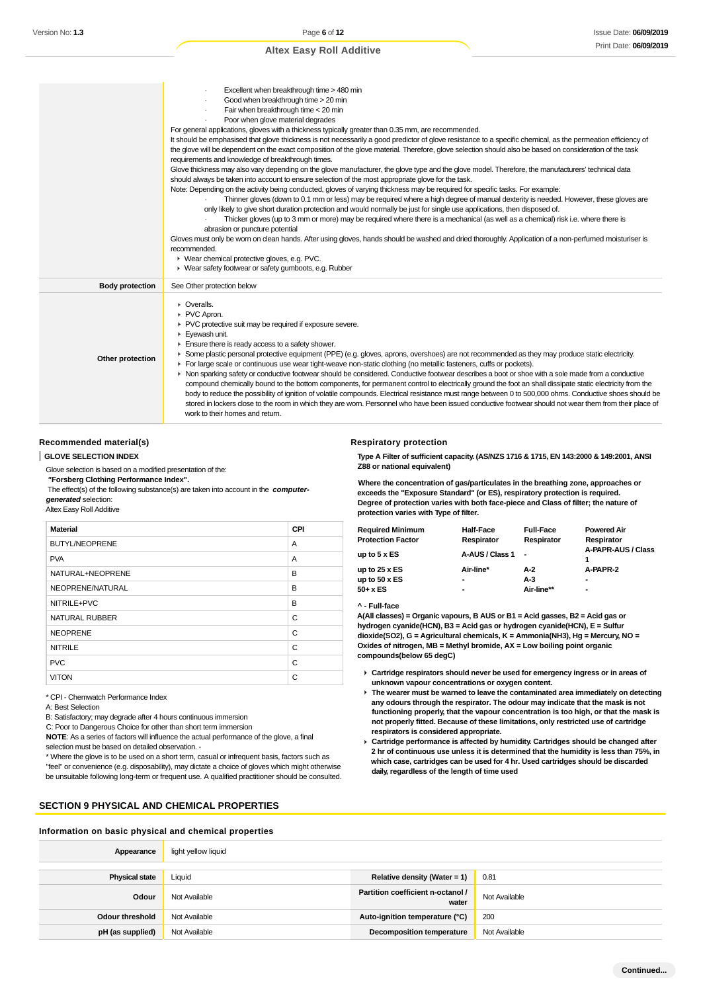|                        | Excellent when breakthrough time > 480 min<br>Good when breakthrough time > 20 min<br>Fair when breakthrough time < 20 min<br>Poor when glove material degrades<br>For general applications, gloves with a thickness typically greater than 0.35 mm, are recommended.<br>It should be emphasised that glove thickness is not necessarily a good predictor of glove resistance to a specific chemical, as the permeation efficiency of<br>the glove will be dependent on the exact composition of the glove material. Therefore, glove selection should also be based on consideration of the task<br>requirements and knowledge of breakthrough times.<br>Glove thickness may also vary depending on the glove manufacturer, the glove type and the glove model. Therefore, the manufacturers' technical data<br>should always be taken into account to ensure selection of the most appropriate glove for the task.<br>Note: Depending on the activity being conducted, gloves of varying thickness may be required for specific tasks. For example:<br>Thinner gloves (down to 0.1 mm or less) may be required where a high degree of manual dexterity is needed. However, these gloves are<br>only likely to give short duration protection and would normally be just for single use applications, then disposed of.<br>Thicker gloves (up to 3 mm or more) may be required where there is a mechanical (as well as a chemical) risk i.e. where there is<br>abrasion or puncture potential<br>Gloves must only be worn on clean hands. After using gloves, hands should be washed and dried thoroughly. Application of a non-perfumed moisturiser is<br>recommended.<br>▶ Wear chemical protective gloves, e.g. PVC.<br>• Wear safety footwear or safety gumboots, e.g. Rubber |
|------------------------|------------------------------------------------------------------------------------------------------------------------------------------------------------------------------------------------------------------------------------------------------------------------------------------------------------------------------------------------------------------------------------------------------------------------------------------------------------------------------------------------------------------------------------------------------------------------------------------------------------------------------------------------------------------------------------------------------------------------------------------------------------------------------------------------------------------------------------------------------------------------------------------------------------------------------------------------------------------------------------------------------------------------------------------------------------------------------------------------------------------------------------------------------------------------------------------------------------------------------------------------------------------------------------------------------------------------------------------------------------------------------------------------------------------------------------------------------------------------------------------------------------------------------------------------------------------------------------------------------------------------------------------------------------------------------------------------------------------------------------------------------------------------------------|
| <b>Body protection</b> | See Other protection below                                                                                                                                                                                                                                                                                                                                                                                                                                                                                                                                                                                                                                                                                                                                                                                                                                                                                                                                                                                                                                                                                                                                                                                                                                                                                                                                                                                                                                                                                                                                                                                                                                                                                                                                                         |
| Other protection       | $\triangleright$ Overalls.<br>PVC Apron.<br>▶ PVC protective suit may be required if exposure severe.<br>Eyewash unit.<br>Ensure there is ready access to a safety shower.<br>► Some plastic personal protective equipment (PPE) (e.g. gloves, aprons, overshoes) are not recommended as they may produce static electricity.<br>For large scale or continuous use wear tight-weave non-static clothing (no metallic fasteners, cuffs or pockets).<br>• Non sparking safety or conductive footwear should be considered. Conductive footwear describes a boot or shoe with a sole made from a conductive<br>compound chemically bound to the bottom components, for permanent control to electrically ground the foot an shall dissipate static electricity from the<br>body to reduce the possibility of ignition of volatile compounds. Electrical resistance must range between 0 to 500,000 ohms. Conductive shoes should be<br>stored in lockers close to the room in which they are worn. Personnel who have been issued conductive footwear should not wear them from their place of<br>work to their homes and return.                                                                                                                                                                                                                                                                                                                                                                                                                                                                                                                                                                                                                                                     |

# **Recommended material(s)**

**GLOVE SELECTION INDEX**

Glove selection is based on a modified presentation of the:  **"Forsberg Clothing Performance Index".**

 The effect(s) of the following substance(s) are taken into account in the **computergenerated** selection:

Altex Easy Roll Additive

| <b>Material</b>       | CPI |
|-----------------------|-----|
| <b>BUTYL/NEOPRENE</b> | A   |
| <b>PVA</b>            | A   |
| NATURAL+NEOPRENE      | B   |
| NEOPRENE/NATURAL      | B   |
| NITRILE+PVC           | B   |
| <b>NATURAL RUBBER</b> | C   |
| <b>NEOPRENE</b>       | C   |
| <b>NITRILE</b>        | C   |
| <b>PVC</b>            | C   |
| <b>VITON</b>          | C   |

\* CPI - Chemwatch Performance Index

A: Best Selection

B: Satisfactory; may degrade after 4 hours continuous immersion

C: Poor to Dangerous Choice for other than short term immersion

**NOTE**: As a series of factors will influence the actual performance of the glove, a final selection must be based on detailed observation. -

\* Where the glove is to be used on a short term, casual or infrequent basis, factors such as "feel" or convenience (e.g. disposability), may dictate a choice of gloves which might otherwise be unsuitable following long-term or frequent use. A qualified practitioner should be consulted.

# **SECTION 9 PHYSICAL AND CHEMICAL PROPERTIES**

#### **Information on basic physical and chemical properties**

| Appearance            | light yellow liquid |                                            |               |  |
|-----------------------|---------------------|--------------------------------------------|---------------|--|
|                       |                     |                                            |               |  |
| <b>Physical state</b> | Liquid              | Relative density (Water = 1)               | 0.81          |  |
| Odour                 | Not Available       | Partition coefficient n-octanol /<br>water | Not Available |  |
| Odour threshold       | Not Available       | Auto-ignition temperature (°C)             | 200           |  |
| pH (as supplied)      | Not Available       | <b>Decomposition temperature</b>           | Not Available |  |

# **Respiratory protection**

**Type A Filter of sufficient capacity. (AS/NZS 1716 & 1715, EN 143:2000 & 149:2001, ANSI Z88 or national equivalent)**

**Where the concentration of gas/particulates in the breathing zone, approaches or exceeds the "Exposure Standard" (or ES), respiratory protection is required. Degree of protection varies with both face-piece and Class of filter; the nature of protection varies with Type of filter.**

| <b>Required Minimum</b><br><b>Protection Factor</b> | <b>Half-Face</b><br>Respirator | <b>Full-Face</b><br>Respirator | <b>Powered Air</b><br>Respirator |
|-----------------------------------------------------|--------------------------------|--------------------------------|----------------------------------|
| up to $5 \times ES$                                 | A-AUS / Class 1                | $\sim$                         | A-PAPR-AUS / Class               |
| up to $25 \times ES$                                | Air-line*                      | A-2                            | A-PAPR-2                         |
| up to $50 \times ES$                                | ٠                              | $A-3$                          | $\blacksquare$                   |
| $50+ x ES$                                          | $\blacksquare$                 | Air-line**                     | $\blacksquare$                   |

**^ - Full-face**

**A(All classes) = Organic vapours, B AUS or B1 = Acid gasses, B2 = Acid gas or hydrogen cyanide(HCN), B3 = Acid gas or hydrogen cyanide(HCN), E = Sulfur dioxide(SO2), G = Agricultural chemicals, K = Ammonia(NH3), Hg = Mercury, NO = Oxides of nitrogen, MB = Methyl bromide, AX = Low boiling point organic compounds(below 65 degC)**

- **Cartridge respirators should never be used for emergency ingress or in areas of unknown vapour concentrations or oxygen content.**
- **The wearer must be warned to leave the contaminated area immediately on detecting any odours through the respirator. The odour may indicate that the mask is not functioning properly, that the vapour concentration is too high, or that the mask is not properly fitted. Because of these limitations, only restricted use of cartridge respirators is considered appropriate.**
- **Cartridge performance is affected by humidity. Cartridges should be changed after 2 hr of continuous use unless it is determined that the humidity is less than 75%, in which case, cartridges can be used for 4 hr. Used cartridges should be discarded daily, regardless of the length of time used**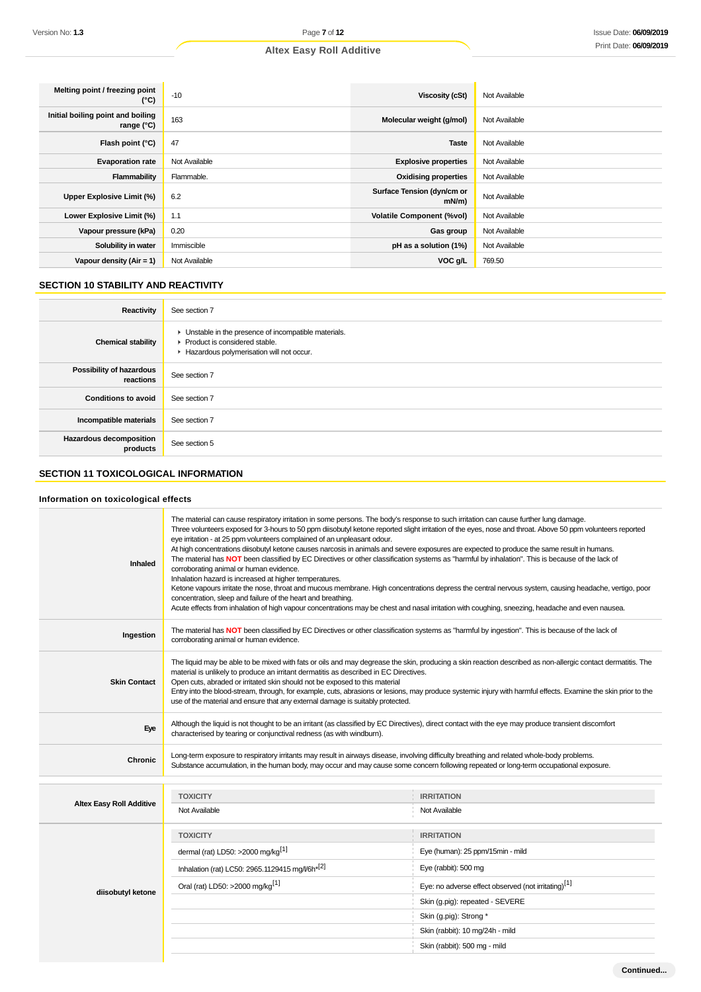| Melting point / freezing point<br>(°C)          | $-10$         | Viscosity (cSt)                    | Not Available |
|-------------------------------------------------|---------------|------------------------------------|---------------|
| Initial boiling point and boiling<br>range (°C) | 163           | Molecular weight (g/mol)           | Not Available |
| Flash point (°C)                                | 47            | <b>Taste</b>                       | Not Available |
| <b>Evaporation rate</b>                         | Not Available | <b>Explosive properties</b>        | Not Available |
| Flammability                                    | Flammable.    | <b>Oxidising properties</b>        | Not Available |
| Upper Explosive Limit (%)                       | 6.2           | Surface Tension (dyn/cm or<br>mN/m | Not Available |
| Lower Explosive Limit (%)                       | 1.1           | <b>Volatile Component (%vol)</b>   | Not Available |
| Vapour pressure (kPa)                           | 0.20          | Gas group                          | Not Available |
| Solubility in water                             | Immiscible    | pH as a solution (1%)              | Not Available |
| Vapour density $(Air = 1)$                      | Not Available | VOC g/L                            | 769.50        |

# **SECTION 10 STABILITY AND REACTIVITY**

| Reactivity                            | See section 7                                                                                                                        |
|---------------------------------------|--------------------------------------------------------------------------------------------------------------------------------------|
| <b>Chemical stability</b>             | • Unstable in the presence of incompatible materials.<br>▶ Product is considered stable.<br>Hazardous polymerisation will not occur. |
| Possibility of hazardous<br>reactions | See section 7                                                                                                                        |
| <b>Conditions to avoid</b>            | See section 7                                                                                                                        |
| Incompatible materials                | See section 7                                                                                                                        |
| Hazardous decomposition<br>products   | See section 5                                                                                                                        |

# **SECTION 11 TOXICOLOGICAL INFORMATION**

# **Information on toxicological effects**

| Inhaled                         | The material can cause respiratory irritation in some persons. The body's response to such irritation can cause further lung damage.<br>Three volunteers exposed for 3-hours to 50 ppm diisobutyl ketone reported slight irritation of the eyes, nose and throat. Above 50 ppm volunteers reported<br>eye irritation - at 25 ppm volunteers complained of an unpleasant odour.<br>At high concentrations diisobutyl ketone causes narcosis in animals and severe exposures are expected to produce the same result in humans.<br>The material has NOT been classified by EC Directives or other classification systems as "harmful by inhalation". This is because of the lack of<br>corroborating animal or human evidence.<br>Inhalation hazard is increased at higher temperatures.<br>Ketone vapours irritate the nose, throat and mucous membrane. High concentrations depress the central nervous system, causing headache, vertigo, poor<br>concentration, sleep and failure of the heart and breathing.<br>Acute effects from inhalation of high vapour concentrations may be chest and nasal irritation with coughing, sneezing, headache and even nausea. |                                                                                                                                                 |
|---------------------------------|---------------------------------------------------------------------------------------------------------------------------------------------------------------------------------------------------------------------------------------------------------------------------------------------------------------------------------------------------------------------------------------------------------------------------------------------------------------------------------------------------------------------------------------------------------------------------------------------------------------------------------------------------------------------------------------------------------------------------------------------------------------------------------------------------------------------------------------------------------------------------------------------------------------------------------------------------------------------------------------------------------------------------------------------------------------------------------------------------------------------------------------------------------------------|-------------------------------------------------------------------------------------------------------------------------------------------------|
| Ingestion                       | corroborating animal or human evidence.                                                                                                                                                                                                                                                                                                                                                                                                                                                                                                                                                                                                                                                                                                                                                                                                                                                                                                                                                                                                                                                                                                                             | The material has NOT been classified by EC Directives or other classification systems as "harmful by ingestion". This is because of the lack of |
| <b>Skin Contact</b>             | The liquid may be able to be mixed with fats or oils and may degrease the skin, producing a skin reaction described as non-allergic contact dermatitis. The<br>material is unlikely to produce an irritant dermatitis as described in EC Directives.<br>Open cuts, abraded or irritated skin should not be exposed to this material<br>Entry into the blood-stream, through, for example, cuts, abrasions or lesions, may produce systemic injury with harmful effects. Examine the skin prior to the<br>use of the material and ensure that any external damage is suitably protected.                                                                                                                                                                                                                                                                                                                                                                                                                                                                                                                                                                             |                                                                                                                                                 |
| Eye                             | Although the liquid is not thought to be an irritant (as classified by EC Directives), direct contact with the eye may produce transient discomfort<br>characterised by tearing or conjunctival redness (as with windburn).                                                                                                                                                                                                                                                                                                                                                                                                                                                                                                                                                                                                                                                                                                                                                                                                                                                                                                                                         |                                                                                                                                                 |
| <b>Chronic</b>                  | Long-term exposure to respiratory irritants may result in airways disease, involving difficulty breathing and related whole-body problems.<br>Substance accumulation, in the human body, may occur and may cause some concern following repeated or long-term occupational exposure.                                                                                                                                                                                                                                                                                                                                                                                                                                                                                                                                                                                                                                                                                                                                                                                                                                                                                |                                                                                                                                                 |
|                                 | <b>TOXICITY</b>                                                                                                                                                                                                                                                                                                                                                                                                                                                                                                                                                                                                                                                                                                                                                                                                                                                                                                                                                                                                                                                                                                                                                     | <b>IRRITATION</b>                                                                                                                               |
| <b>Altex Easy Roll Additive</b> | Not Available                                                                                                                                                                                                                                                                                                                                                                                                                                                                                                                                                                                                                                                                                                                                                                                                                                                                                                                                                                                                                                                                                                                                                       | Not Available                                                                                                                                   |
|                                 | <b>TOXICITY</b>                                                                                                                                                                                                                                                                                                                                                                                                                                                                                                                                                                                                                                                                                                                                                                                                                                                                                                                                                                                                                                                                                                                                                     | <b>IRRITATION</b>                                                                                                                               |
|                                 | dermal (rat) LD50: >2000 mg/kg <sup>[1]</sup>                                                                                                                                                                                                                                                                                                                                                                                                                                                                                                                                                                                                                                                                                                                                                                                                                                                                                                                                                                                                                                                                                                                       | Eye (human): 25 ppm/15min - mild                                                                                                                |
|                                 | Inhalation (rat) LC50: 2965.1129415 mg/V6h <sup>*[2]</sup>                                                                                                                                                                                                                                                                                                                                                                                                                                                                                                                                                                                                                                                                                                                                                                                                                                                                                                                                                                                                                                                                                                          | Eye (rabbit): 500 mg                                                                                                                            |
| diisobutyl ketone               | Oral (rat) LD50: >2000 mg/kg <sup>[1]</sup>                                                                                                                                                                                                                                                                                                                                                                                                                                                                                                                                                                                                                                                                                                                                                                                                                                                                                                                                                                                                                                                                                                                         | Eye: no adverse effect observed (not irritating) <sup>[1]</sup>                                                                                 |
|                                 |                                                                                                                                                                                                                                                                                                                                                                                                                                                                                                                                                                                                                                                                                                                                                                                                                                                                                                                                                                                                                                                                                                                                                                     | Skin (q.piq): repeated - SEVERE                                                                                                                 |
|                                 |                                                                                                                                                                                                                                                                                                                                                                                                                                                                                                                                                                                                                                                                                                                                                                                                                                                                                                                                                                                                                                                                                                                                                                     | Skin (g.pig): Strong *                                                                                                                          |
|                                 |                                                                                                                                                                                                                                                                                                                                                                                                                                                                                                                                                                                                                                                                                                                                                                                                                                                                                                                                                                                                                                                                                                                                                                     | Skin (rabbit): 10 mg/24h - mild                                                                                                                 |
|                                 |                                                                                                                                                                                                                                                                                                                                                                                                                                                                                                                                                                                                                                                                                                                                                                                                                                                                                                                                                                                                                                                                                                                                                                     | Skin (rabbit): 500 mg - mild                                                                                                                    |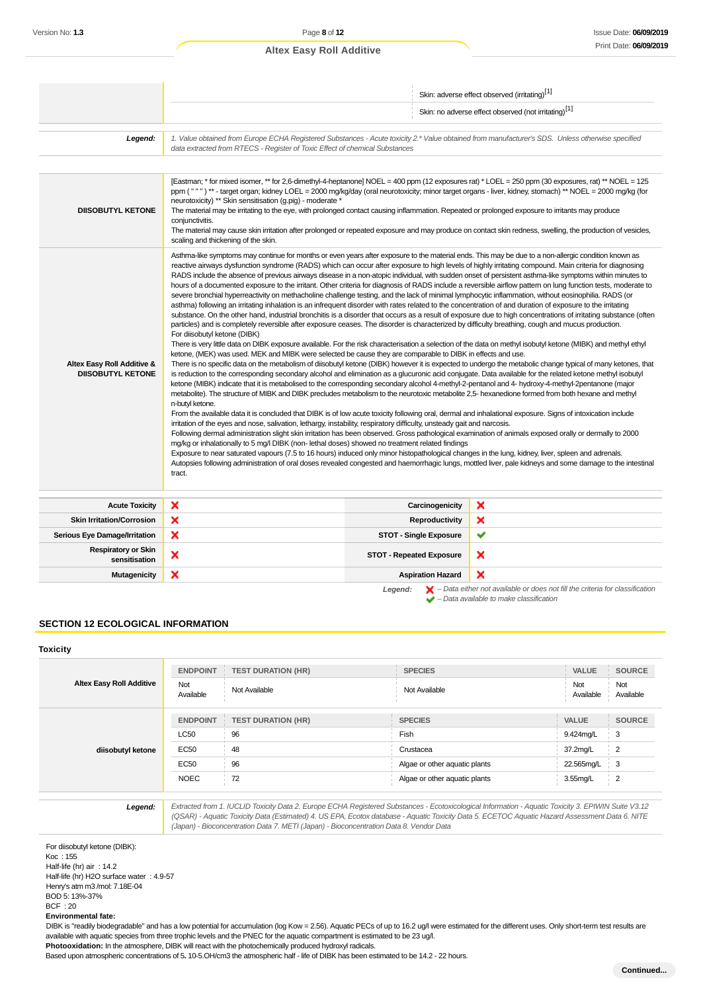|                                                        |                                                                                                                                                                                                                                                                                                                                                                                                                                                                                                                                                                                                                                                                                                                                                                                                                                                                                                                                                                                                                                                                                                                                                                                                                                                                                                                                                                                                                                                                                                                                                                                                                                                                                                                                                                                                                                                                                                                                                                                                                                                                                                                                                                                                                                                                                                                                                                                                                                                                                                                                                                                                                                                                                                                                                                                                                                                                                                                                                                                                                                                                                                                                                       |                                 | Skin: adverse effect observed (irritating) <sup>[1]</sup>                                                                                                                                                                                                                                                                                                                                                                                                                   |
|--------------------------------------------------------|-------------------------------------------------------------------------------------------------------------------------------------------------------------------------------------------------------------------------------------------------------------------------------------------------------------------------------------------------------------------------------------------------------------------------------------------------------------------------------------------------------------------------------------------------------------------------------------------------------------------------------------------------------------------------------------------------------------------------------------------------------------------------------------------------------------------------------------------------------------------------------------------------------------------------------------------------------------------------------------------------------------------------------------------------------------------------------------------------------------------------------------------------------------------------------------------------------------------------------------------------------------------------------------------------------------------------------------------------------------------------------------------------------------------------------------------------------------------------------------------------------------------------------------------------------------------------------------------------------------------------------------------------------------------------------------------------------------------------------------------------------------------------------------------------------------------------------------------------------------------------------------------------------------------------------------------------------------------------------------------------------------------------------------------------------------------------------------------------------------------------------------------------------------------------------------------------------------------------------------------------------------------------------------------------------------------------------------------------------------------------------------------------------------------------------------------------------------------------------------------------------------------------------------------------------------------------------------------------------------------------------------------------------------------------------------------------------------------------------------------------------------------------------------------------------------------------------------------------------------------------------------------------------------------------------------------------------------------------------------------------------------------------------------------------------------------------------------------------------------------------------------------------------|---------------------------------|-----------------------------------------------------------------------------------------------------------------------------------------------------------------------------------------------------------------------------------------------------------------------------------------------------------------------------------------------------------------------------------------------------------------------------------------------------------------------------|
|                                                        |                                                                                                                                                                                                                                                                                                                                                                                                                                                                                                                                                                                                                                                                                                                                                                                                                                                                                                                                                                                                                                                                                                                                                                                                                                                                                                                                                                                                                                                                                                                                                                                                                                                                                                                                                                                                                                                                                                                                                                                                                                                                                                                                                                                                                                                                                                                                                                                                                                                                                                                                                                                                                                                                                                                                                                                                                                                                                                                                                                                                                                                                                                                                                       |                                 | Skin: no adverse effect observed (not irritating) <sup>[1]</sup>                                                                                                                                                                                                                                                                                                                                                                                                            |
| Legend:                                                | data extracted from RTECS - Register of Toxic Effect of chemical Substances                                                                                                                                                                                                                                                                                                                                                                                                                                                                                                                                                                                                                                                                                                                                                                                                                                                                                                                                                                                                                                                                                                                                                                                                                                                                                                                                                                                                                                                                                                                                                                                                                                                                                                                                                                                                                                                                                                                                                                                                                                                                                                                                                                                                                                                                                                                                                                                                                                                                                                                                                                                                                                                                                                                                                                                                                                                                                                                                                                                                                                                                           |                                 | 1. Value obtained from Europe ECHA Registered Substances - Acute toxicity 2.* Value obtained from manufacturer's SDS. Unless otherwise specified                                                                                                                                                                                                                                                                                                                            |
| <b>DIISOBUTYL KETONE</b>                               | neurotoxicity) ** Skin sensitisation (g.pig) - moderate *<br>The material may be irritating to the eye, with prolonged contact causing inflammation. Repeated or prolonged exposure to irritants may produce<br>conjunctivitis.<br>scaling and thickening of the skin.                                                                                                                                                                                                                                                                                                                                                                                                                                                                                                                                                                                                                                                                                                                                                                                                                                                                                                                                                                                                                                                                                                                                                                                                                                                                                                                                                                                                                                                                                                                                                                                                                                                                                                                                                                                                                                                                                                                                                                                                                                                                                                                                                                                                                                                                                                                                                                                                                                                                                                                                                                                                                                                                                                                                                                                                                                                                                |                                 | [Eastman; * for mixed isomer, ** for 2,6-dimethyl-4-heptanone] NOEL = 400 ppm (12 exposures rat) * LOEL = 250 ppm (30 exposures, rat) ** NOEL = 125<br>ppm (""") ** - target organ; kidney LOEL = 2000 mg/kg/day (oral neurotoxicity; minor target organs - liver, kidney, stomach) ** NOEL = 2000 mg/kg (for<br>The material may cause skin irritation after prolonged or repeated exposure and may produce on contact skin redness, swelling, the production of vesicles, |
| Altex Easy Roll Additive &<br><b>DIISOBUTYL KETONE</b> | Asthma-like symptoms may continue for months or even years after exposure to the material ends. This may be due to a non-allergic condition known as<br>reactive airways dysfunction syndrome (RADS) which can occur after exposure to high levels of highly irritating compound. Main criteria for diagnosing<br>RADS include the absence of previous airways disease in a non-atopic individual, with sudden onset of persistent asthma-like symptoms within minutes to<br>hours of a documented exposure to the irritant. Other criteria for diagnosis of RADS include a reversible airflow pattern on lung function tests, moderate to<br>severe bronchial hyperreactivity on methacholine challenge testing, and the lack of minimal lymphocytic inflammation, without eosinophilia. RADS (or<br>asthma) following an irritating inhalation is an infrequent disorder with rates related to the concentration of and duration of exposure to the irritating<br>substance. On the other hand, industrial bronchitis is a disorder that occurs as a result of exposure due to high concentrations of irritating substance (often<br>particles) and is completely reversible after exposure ceases. The disorder is characterized by difficulty breathing, cough and mucus production.<br>For diisobutyl ketone (DIBK)<br>There is very little data on DIBK exposure available. For the risk characterisation a selection of the data on methyl isobutyl ketone (MIBK) and methyl ethyl<br>ketone, (MEK) was used. MEK and MIBK were selected be cause they are comparable to DIBK in effects and use.<br>There is no specific data on the metabolism of diisobutyl ketone (DIBK) however it is expected to undergo the metabolic change typical of many ketones, that<br>is reduction to the corresponding secondary alcohol and elimination as a glucuronic acid conjugate. Data available for the related ketone methyl isobutyl<br>ketone (MIBK) indicate that it is metabolised to the corresponding secondary alcohol 4-methyl-2-pentanol and 4- hydroxy-4-methyl-2pentanone (major<br>metabolite). The structure of MIBK and DIBK precludes metabolism to the neurotoxic metabolite 2,5- hexanedione formed from both hexane and methyl<br>n-butyl ketone.<br>From the available data it is concluded that DIBK is of low acute toxicity following oral, dermal and inhalational exposure. Signs of intoxication include<br>irritation of the eyes and nose, salivation, lethargy, instability, respiratory difficulty, unsteady gait and narcosis.<br>Following dermal administration slight skin irritation has been observed. Gross pathological examination of animals exposed orally or dermally to 2000<br>mg/kg or inhalationally to 5 mg/l DIBK (non-lethal doses) showed no treatment related findings<br>Exposure to near saturated vapours (7.5 to 16 hours) induced only minor histopathological changes in the lung, kidney, liver, spleen and adrenals.<br>Autopsies following administration of oral doses revealed congested and haemorrhagic lungs, mottled liver, pale kidneys and some damage to the intestinal<br>tract. |                                 |                                                                                                                                                                                                                                                                                                                                                                                                                                                                             |
| <b>Acute Toxicity</b>                                  | ×                                                                                                                                                                                                                                                                                                                                                                                                                                                                                                                                                                                                                                                                                                                                                                                                                                                                                                                                                                                                                                                                                                                                                                                                                                                                                                                                                                                                                                                                                                                                                                                                                                                                                                                                                                                                                                                                                                                                                                                                                                                                                                                                                                                                                                                                                                                                                                                                                                                                                                                                                                                                                                                                                                                                                                                                                                                                                                                                                                                                                                                                                                                                                     | Carcinogenicity                 | ×                                                                                                                                                                                                                                                                                                                                                                                                                                                                           |
| <b>Skin Irritation/Corrosion</b>                       | ×                                                                                                                                                                                                                                                                                                                                                                                                                                                                                                                                                                                                                                                                                                                                                                                                                                                                                                                                                                                                                                                                                                                                                                                                                                                                                                                                                                                                                                                                                                                                                                                                                                                                                                                                                                                                                                                                                                                                                                                                                                                                                                                                                                                                                                                                                                                                                                                                                                                                                                                                                                                                                                                                                                                                                                                                                                                                                                                                                                                                                                                                                                                                                     | <b>Reproductivity</b>           | ×                                                                                                                                                                                                                                                                                                                                                                                                                                                                           |
| <b>Serious Eye Damage/Irritation</b>                   | ×                                                                                                                                                                                                                                                                                                                                                                                                                                                                                                                                                                                                                                                                                                                                                                                                                                                                                                                                                                                                                                                                                                                                                                                                                                                                                                                                                                                                                                                                                                                                                                                                                                                                                                                                                                                                                                                                                                                                                                                                                                                                                                                                                                                                                                                                                                                                                                                                                                                                                                                                                                                                                                                                                                                                                                                                                                                                                                                                                                                                                                                                                                                                                     | <b>STOT - Single Exposure</b>   | ✔                                                                                                                                                                                                                                                                                                                                                                                                                                                                           |
| <b>Respiratory or Skin</b><br>sensitisation            | ×                                                                                                                                                                                                                                                                                                                                                                                                                                                                                                                                                                                                                                                                                                                                                                                                                                                                                                                                                                                                                                                                                                                                                                                                                                                                                                                                                                                                                                                                                                                                                                                                                                                                                                                                                                                                                                                                                                                                                                                                                                                                                                                                                                                                                                                                                                                                                                                                                                                                                                                                                                                                                                                                                                                                                                                                                                                                                                                                                                                                                                                                                                                                                     | <b>STOT - Repeated Exposure</b> | ×                                                                                                                                                                                                                                                                                                                                                                                                                                                                           |
|                                                        |                                                                                                                                                                                                                                                                                                                                                                                                                                                                                                                                                                                                                                                                                                                                                                                                                                                                                                                                                                                                                                                                                                                                                                                                                                                                                                                                                                                                                                                                                                                                                                                                                                                                                                                                                                                                                                                                                                                                                                                                                                                                                                                                                                                                                                                                                                                                                                                                                                                                                                                                                                                                                                                                                                                                                                                                                                                                                                                                                                                                                                                                                                                                                       |                                 |                                                                                                                                                                                                                                                                                                                                                                                                                                                                             |

# **SECTION 12 ECOLOGICAL INFORMATION**

# **Toxicity**

| <b>Altex Easy Roll Additive</b> | <b>ENDPOINT</b>  | <b>TEST DURATION (HR)</b>                                                                                                                                                                                                                                                                             | <b>SPECIES</b>                | <b>VALUE</b>     | <b>SOURCE</b>    |
|---------------------------------|------------------|-------------------------------------------------------------------------------------------------------------------------------------------------------------------------------------------------------------------------------------------------------------------------------------------------------|-------------------------------|------------------|------------------|
|                                 | Not<br>Available | Not Available                                                                                                                                                                                                                                                                                         | Not Available                 | Not<br>Available | Not<br>Available |
|                                 | <b>ENDPOINT</b>  | <b>TEST DURATION (HR)</b>                                                                                                                                                                                                                                                                             | <b>SPECIES</b>                | <b>VALUE</b>     | <b>SOURCE</b>    |
| diisobutyl ketone               | <b>LC50</b>      | 96                                                                                                                                                                                                                                                                                                    | Fish                          | 9.424mg/L        | 3                |
|                                 | EC50             | 48                                                                                                                                                                                                                                                                                                    | Crustacea                     | 37.2mg/L         | 2                |
|                                 | <b>EC50</b>      | 96                                                                                                                                                                                                                                                                                                    | Algae or other aquatic plants | 22.565mg/L       | 3                |
|                                 | <b>NOEC</b>      | 72                                                                                                                                                                                                                                                                                                    | Algae or other aquatic plants | 3.55mg/L         | 2                |
|                                 |                  |                                                                                                                                                                                                                                                                                                       |                               |                  |                  |
| Legend:                         |                  | Extracted from 1. IUCLID Toxicity Data 2. Europe ECHA Registered Substances - Ecotoxicological Information - Aquatic Toxicity 3. EPIWIN Suite V3.12<br>(QSAR) - Aquatic Toxicity Data (Estimated) 4. US EPA, Ecotox database - Aquatic Toxicity Data 5. ECETOC Aquatic Hazard Assessment Data 6. NITE |                               |                  |                  |

(Japan) - Bioconcentration Data 7. METI (Japan) - Bioconcentration Data 8. Vendor Data

For diisobutyl ketone (DIBK): Koc : 155 Half-life (hr) air : 14.2 Half-life (hr) H2O surface water : 4.9-57 Henry's atm m3 /mol: 7.18E-04 BOD 5: 13%-37% BCF : 20 **Environmental fate:**

DIBK is "readily biodegradable" and has a low potential for accumulation (log Kow = 2.56). Aquatic PECs of up to 16.2 ug/l were estimated for the different uses. Only short-term test results are available with aquatic species from three trophic levels and the PNEC for the aquatic compartment is estimated to be 23 ug/l. **Photooxidation:** In the atmosphere, DIBK will react with the photochemically produced hydroxyl radicals.

Based upon atmospheric concentrations of 5**.** 10-5.OH/cm3 the atmospheric half - life of DIBK has been estimated to be 14.2 - 22 hours.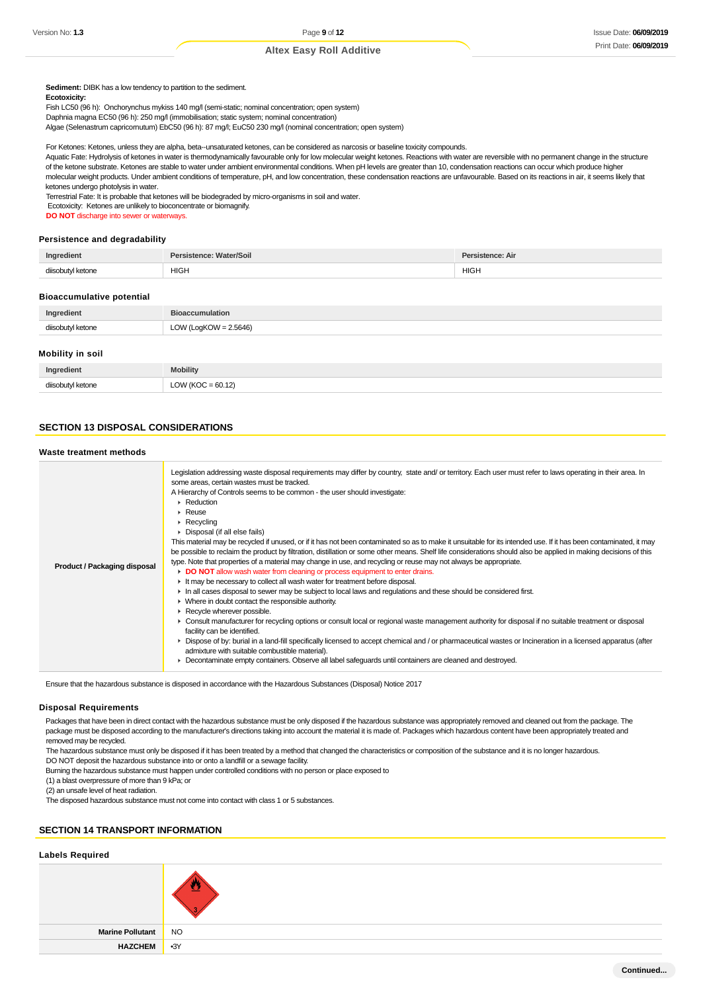**Sediment:** DIBK has a low tendency to partition to the sediment.

**Ecotoxicity:**

Fish LC50 (96 h): Onchorynchus mykiss 140 mg/l (semi-static; nominal concentration; open system)

Daphnia magna EC50 (96 h): 250 mg/l (immobilisation; static system; nominal concentration) Algae (Selenastrum capricornutum) EbC50 (96 h): 87 mg/l; EuC50 230 mg/l (nominal concentration; open system)

For Ketones: Ketones, unless they are alpha, beta--unsaturated ketones, can be considered as narcosis or baseline toxicity compounds.

Aquatic Fate: Hydrolysis of ketones in water is thermodynamically favourable only for low molecular weight ketones. Reactions with water are reversible with no permanent change in the structure of the ketone substrate. Ketones are stable to water under ambient environmental conditions. When pH levels are greater than 10, condensation reactions can occur which produce higher molecular weight products. Under ambient conditions of temperature, pH, and low concentration, these condensation reactions are unfavourable. Based on its reactions in air, it seems likely that ketones undergo photolysis in water.

Terrestrial Fate: It is probable that ketones will be biodegraded by micro-organisms in soil and water.

Ecotoxicity: Ketones are unlikely to bioconcentrate or biomagnify.

**DO NOT** discharge into sewer or waterways.

#### **Persistence and degradability**

| Ingredient        | Persistence: Water/Soil | Persistence: Air |
|-------------------|-------------------------|------------------|
| dijsobutvl ketone | <b>HIGH</b>             | <b>HIGH</b>      |
|                   |                         |                  |

#### **Bioaccumulative potential**

| Ingredient        | <b>Bioaccumulation</b>   |
|-------------------|--------------------------|
| diisobutyl ketone | LOW (LogKOW = $2.5646$ ) |

## **Mobility in soil**

| Ingredient        | <b>Mobility</b>    |
|-------------------|--------------------|
| diisobutvl ketone | $OW (KOC = 60.12)$ |

# **SECTION 13 DISPOSAL CONSIDERATIONS**

#### **Waste treatment methods**

| Product / Packaging disposal | Legislation addressing waste disposal requirements may differ by country, state and/ or territory. Each user must refer to laws operating in their area. In<br>some areas, certain wastes must be tracked.<br>A Hierarchy of Controls seems to be common - the user should investigate:<br>Reduction<br>$\triangleright$ Reuse<br>$\triangleright$ Recycling<br>• Disposal (if all else fails)<br>This material may be recycled if unused, or if it has not been contaminated so as to make it unsuitable for its intended use. If it has been contaminated, it may<br>be possible to reclaim the product by filtration, distillation or some other means. Shelf life considerations should also be applied in making decisions of this<br>type. Note that properties of a material may change in use, and recycling or reuse may not always be appropriate.<br>• DO NOT allow wash water from cleaning or process equipment to enter drains.<br>If It may be necessary to collect all wash water for treatment before disposal.<br>In all cases disposal to sewer may be subject to local laws and regulations and these should be considered first.<br>• Where in doubt contact the responsible authority.<br>Recycle wherever possible.<br>► Consult manufacturer for recycling options or consult local or regional waste management authority for disposal if no suitable treatment or disposal<br>facility can be identified.<br>▶ Dispose of by: burial in a land-fill specifically licensed to accept chemical and / or pharmaceutical wastes or Incineration in a licensed apparatus (after<br>admixture with suitable combustible material).<br>▶ Decontaminate empty containers. Observe all label safeguards until containers are cleaned and destroyed. |
|------------------------------|----------------------------------------------------------------------------------------------------------------------------------------------------------------------------------------------------------------------------------------------------------------------------------------------------------------------------------------------------------------------------------------------------------------------------------------------------------------------------------------------------------------------------------------------------------------------------------------------------------------------------------------------------------------------------------------------------------------------------------------------------------------------------------------------------------------------------------------------------------------------------------------------------------------------------------------------------------------------------------------------------------------------------------------------------------------------------------------------------------------------------------------------------------------------------------------------------------------------------------------------------------------------------------------------------------------------------------------------------------------------------------------------------------------------------------------------------------------------------------------------------------------------------------------------------------------------------------------------------------------------------------------------------------------------------------------------------------------------------------------------------------------------|
|------------------------------|----------------------------------------------------------------------------------------------------------------------------------------------------------------------------------------------------------------------------------------------------------------------------------------------------------------------------------------------------------------------------------------------------------------------------------------------------------------------------------------------------------------------------------------------------------------------------------------------------------------------------------------------------------------------------------------------------------------------------------------------------------------------------------------------------------------------------------------------------------------------------------------------------------------------------------------------------------------------------------------------------------------------------------------------------------------------------------------------------------------------------------------------------------------------------------------------------------------------------------------------------------------------------------------------------------------------------------------------------------------------------------------------------------------------------------------------------------------------------------------------------------------------------------------------------------------------------------------------------------------------------------------------------------------------------------------------------------------------------------------------------------------------|

Ensure that the hazardous substance is disposed in accordance with the Hazardous Substances (Disposal) Notice 2017

#### **Disposal Requirements**

Packages that have been in direct contact with the hazardous substance must be only disposed if the hazardous substance was appropriately removed and cleaned out from the package. The package must be disposed according to the manufacturer's directions taking into account the material it is made of. Packages which hazardous content have been appropriately treated and removed may be recycled.

The hazardous substance must only be disposed if it has been treated by a method that changed the characteristics or composition of the substance and it is no longer hazardous.

DO NOT deposit the hazardous substance into or onto a landfill or a sewage facility.

Burning the hazardous substance must happen under controlled conditions with no person or place exposed to

- (1) a blast overpressure of more than 9 kPa; or
- (2) an unsafe level of heat radiation.

The disposed hazardous substance must not come into contact with class 1 or 5 substances.

## **SECTION 14 TRANSPORT INFORMATION**

| <b>Labels Required</b>  |           |
|-------------------------|-----------|
|                         | <u>97</u> |
| <b>Marine Pollutant</b> | <b>NO</b> |
| <b>HAZCHEM</b>          | $-3Y$     |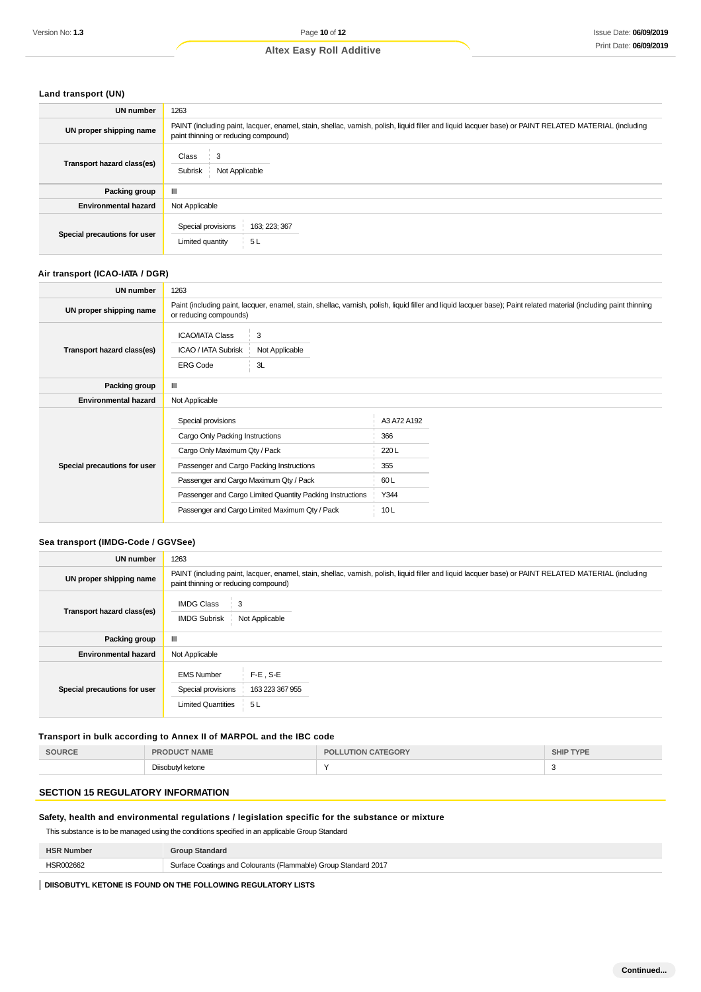# **Land transport (UN)**

| UN number                    | 1263                                                                                                                                                                                          |
|------------------------------|-----------------------------------------------------------------------------------------------------------------------------------------------------------------------------------------------|
| UN proper shipping name      | PAINT (including paint, lacquer, enamel, stain, shellac, varnish, polish, liquid filler and liquid lacquer base) or PAINT RELATED MATERIAL (including<br>paint thinning or reducing compound) |
| Transport hazard class(es)   | Class<br>3<br>Not Applicable<br>Subrisk                                                                                                                                                       |
| Packing group                | Ш                                                                                                                                                                                             |
| <b>Environmental hazard</b>  | Not Applicable                                                                                                                                                                                |
| Special precautions for user | Special provisions<br>163; 223; 367<br>5L<br>Limited quantity                                                                                                                                 |

## **Air transport (ICAO-IATA / DGR)**

| UN number                    | 1263                                                                                                                                                                                         |                    |  |
|------------------------------|----------------------------------------------------------------------------------------------------------------------------------------------------------------------------------------------|--------------------|--|
| UN proper shipping name      | Paint (including paint, lacquer, enamel, stain, shellac, varnish, polish, liquid filler and liquid lacquer base); Paint related material (including paint thinning<br>or reducing compounds) |                    |  |
| Transport hazard class(es)   | 3<br><b>ICAO/IATA Class</b><br>ICAO / IATA Subrisk<br>Not Applicable<br>3L<br><b>ERG Code</b>                                                                                                |                    |  |
| Packing group                | Ш                                                                                                                                                                                            |                    |  |
| <b>Environmental hazard</b>  | Not Applicable                                                                                                                                                                               |                    |  |
| Special precautions for user | Special provisions<br>Cargo Only Packing Instructions                                                                                                                                        | A3 A72 A192<br>366 |  |
|                              | Cargo Only Maximum Qty / Pack                                                                                                                                                                | 220L               |  |
|                              | Passenger and Cargo Packing Instructions                                                                                                                                                     | 355                |  |
|                              | Passenger and Cargo Maximum Qty / Pack                                                                                                                                                       | 60 L               |  |
|                              | Passenger and Cargo Limited Quantity Packing Instructions                                                                                                                                    | Y344               |  |
|                              | Passenger and Cargo Limited Maximum Qty / Pack                                                                                                                                               | 10L                |  |

# **Sea transport (IMDG-Code / GGVSee)**

| UN number                    | 1263                                                                                                                                                                                          |  |
|------------------------------|-----------------------------------------------------------------------------------------------------------------------------------------------------------------------------------------------|--|
| UN proper shipping name      | PAINT (including paint, lacquer, enamel, stain, shellac, varnish, polish, liquid filler and liquid lacquer base) or PAINT RELATED MATERIAL (including<br>paint thinning or reducing compound) |  |
| Transport hazard class(es)   | <b>IMDG Class</b><br>3<br>Not Applicable<br><b>IMDG Subrisk</b>                                                                                                                               |  |
| Packing group                | Ш                                                                                                                                                                                             |  |
| <b>Environmental hazard</b>  | Not Applicable                                                                                                                                                                                |  |
| Special precautions for user | $F-E$ , S-E<br><b>EMS Number</b><br>Special provisions<br>163 223 367 955<br><b>Limited Quantities</b><br>5L                                                                                  |  |

## **Transport in bulk according to Annex II of MARPOL and the IBC code**

| <b>SOURCE</b> | <b>NAME</b><br><b>PRODUCT</b> | <b>POLLUTION CATEGORY</b> | <b>TYPE</b><br><b>SHIP</b> |
|---------------|-------------------------------|---------------------------|----------------------------|
|               | Diisobutyl ketone             | $\mathbf{v}$              |                            |

# **SECTION 15 REGULATORY INFORMATION**

# **Safety, health and environmental regulations / legislation specific for the substance or mixture**

This substance is to be managed using the conditions specified in an applicable Group Standard

| <b>HSR Number</b> | <b>Group Standard</b>                                           |
|-------------------|-----------------------------------------------------------------|
| HSR002662         | Surface Coatings and Colourants (Flammable) Group Standard 2017 |

**DIISOBUTYL KETONE IS FOUND ON THE FOLLOWING REGULATORY LISTS**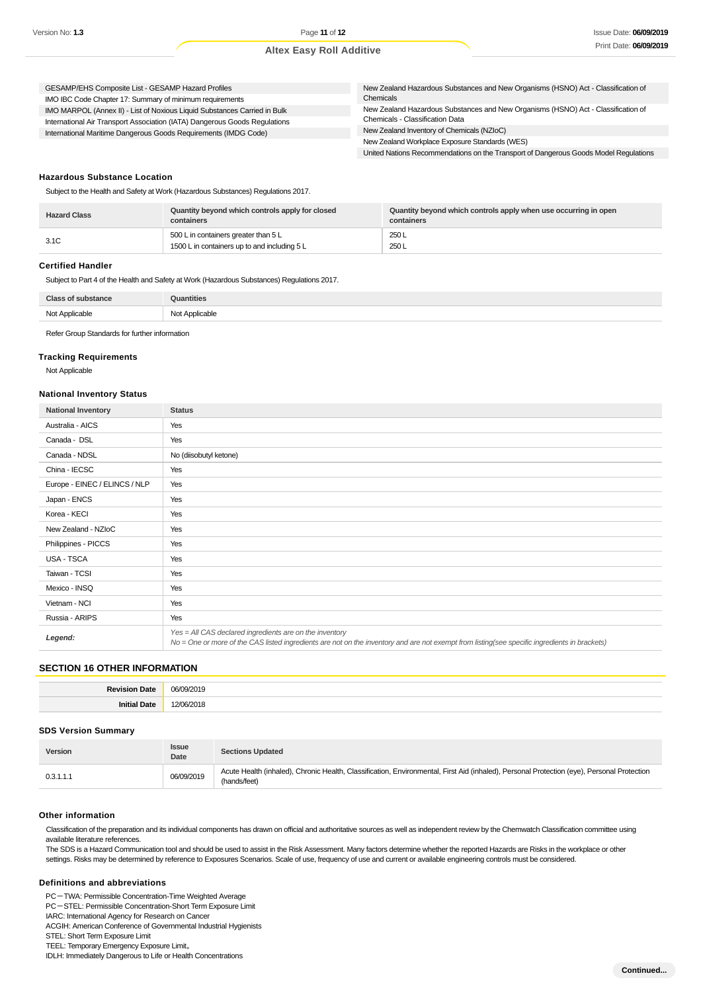| GESAMP/EHS Composite List - GESAMP Hazard Profiles                         | New Zealand Hazardous Substances and New Organisms (HSNO) Act - Classification of |  |
|----------------------------------------------------------------------------|-----------------------------------------------------------------------------------|--|
| IMO IBC Code Chapter 17: Summary of minimum requirements                   | Chemicals                                                                         |  |
| IMO MARPOL (Annex II) - List of Noxious Liquid Substances Carried in Bulk  | New Zealand Hazardous Substances and New Organisms (HSNO) Act - Classification of |  |
| International Air Transport Association (IATA) Dangerous Goods Regulations | Chemicals - Classification Data                                                   |  |
| International Maritime Dangerous Goods Requirements (IMDG Code)            | New Zealand Inventory of Chemicals (NZIoC)                                        |  |
|                                                                            | New Zealand Workplace Exposure Standards (WES)                                    |  |
|                                                                            |                                                                                   |  |

United Nations Recommendations on the Transport of Dangerous Goods Model Regulations

#### **Hazardous Substance Location**

Subject to the Health and Safety at Work (Hazardous Substances) Regulations 2017.

| <b>Hazard Class</b> | Quantity beyond which controls apply for closed<br>containers                        | Quantity beyond which controls apply when use occurring in open<br>containers |
|---------------------|--------------------------------------------------------------------------------------|-------------------------------------------------------------------------------|
| 3.1C                | 500 L in containers greater than 5 L<br>1500 L in containers up to and including 5 L | 250L<br>250L                                                                  |

## **Certified Handler**

Subject to Part 4 of the Health and Safety at Work (Hazardous Substances) Regulations 2017.

| <b>Class of substance</b> | Quantities     |
|---------------------------|----------------|
| Not Applicable            | Not Applicable |
|                           |                |

Refer Group Standards for further information

#### **Tracking Requirements**

Not Applicable

## **National Inventory Status**

| <b>National Inventory</b>     | <b>Status</b>                                                                                                                                                                                            |
|-------------------------------|----------------------------------------------------------------------------------------------------------------------------------------------------------------------------------------------------------|
| Australia - AICS              | Yes                                                                                                                                                                                                      |
| Canada - DSL                  | Yes                                                                                                                                                                                                      |
| Canada - NDSL                 | No (diisobutyl ketone)                                                                                                                                                                                   |
| China - IECSC                 | Yes                                                                                                                                                                                                      |
| Europe - EINEC / ELINCS / NLP | Yes                                                                                                                                                                                                      |
| Japan - ENCS                  | Yes                                                                                                                                                                                                      |
| Korea - KECI                  | Yes                                                                                                                                                                                                      |
| New Zealand - NZIoC           | Yes                                                                                                                                                                                                      |
| Philippines - PICCS           | Yes                                                                                                                                                                                                      |
| USA - TSCA                    | Yes                                                                                                                                                                                                      |
| Taiwan - TCSI                 | Yes                                                                                                                                                                                                      |
| Mexico - INSQ                 | Yes                                                                                                                                                                                                      |
| Vietnam - NCI                 | Yes                                                                                                                                                                                                      |
| Russia - ARIPS                | Yes                                                                                                                                                                                                      |
| Legend:                       | Yes = All CAS declared ingredients are on the inventory<br>No = One or more of the CAS listed ingredients are not on the inventory and are not exempt from listing(see specific ingredients in brackets) |

### **SECTION 16 OTHER INFORMATION**

| .,<br>1916 | 11 C |
|------------|------|
|            | .    |

## **SDS Version Summary**

| Version   | <b>Issue</b><br>Date | <b>Sections Updated</b>                                                                                                                                    |
|-----------|----------------------|------------------------------------------------------------------------------------------------------------------------------------------------------------|
| 0.3.1.1.1 | 06/09/2019           | Acute Health (inhaled), Chronic Health, Classification, Environmental, First Aid (inhaled), Personal Protection (eye), Personal Protection<br>(hands/feet) |

#### **Other information**

Classification of the preparation and its individual components has drawn on official and authoritative sources as well as independent review by the Chemwatch Classification committee using available literature references.

The SDS is a Hazard Communication tool and should be used to assist in the Risk Assessment. Many factors determine whether the reported Hazards are Risks in the workplace or other settings. Risks may be determined by reference to Exposures Scenarios. Scale of use, frequency of use and current or available engineering controls must be considered.

# **Definitions and abbreviations**

PC-TWA: Permissible Concentration-Time Weighted Average

PC-STEL: Permissible Concentration-Short Term Exposure Limit IARC: International Agency for Research on Cancer

ACGIH: American Conference of Governmental Industrial Hygienists

STEL: Short Term Exposure Limit

TEEL: Temporary Emergency Exposure Limit。

IDLH: Immediately Dangerous to Life or Health Concentrations